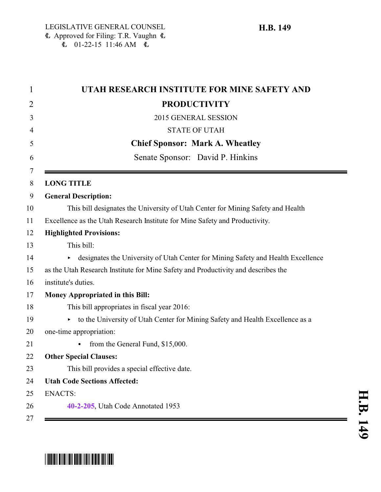| UTAH RESEARCH INSTITUTE FOR MINE SAFETY AND                                       |
|-----------------------------------------------------------------------------------|
| <b>PRODUCTIVITY</b>                                                               |
| 2015 GENERAL SESSION                                                              |
| <b>STATE OF UTAH</b>                                                              |
| <b>Chief Sponsor: Mark A. Wheatley</b>                                            |
| Senate Sponsor: David P. Hinkins                                                  |
| <b>LONG TITLE</b>                                                                 |
| <b>General Description:</b>                                                       |
| This bill designates the University of Utah Center for Mining Safety and Health   |
| Excellence as the Utah Research Institute for Mine Safety and Productivity.       |
| <b>Highlighted Provisions:</b>                                                    |
| This bill:                                                                        |
| designates the University of Utah Center for Mining Safety and Health Excellence  |
| as the Utah Research Institute for Mine Safety and Productivity and describes the |
| institute's duties.                                                               |
| <b>Money Appropriated in this Bill:</b>                                           |
| This bill appropriates in fiscal year 2016:                                       |
| to the University of Utah Center for Mining Safety and Health Excellence as a     |
| one-time appropriation:                                                           |
| from the General Fund, \$15,000.                                                  |
| <b>Other Special Clauses:</b>                                                     |
| This bill provides a special effective date.                                      |
| <b>Utah Code Sections Affected:</b>                                               |
| <b>ENACTS:</b>                                                                    |
| 40-2-205, Utah Code Annotated 1953                                                |
|                                                                                   |

## \*HB0149\*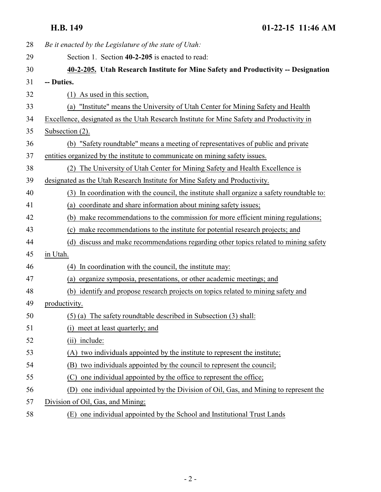<span id="page-1-0"></span>**H.B. 149 01-22-15 11:46 AM**

| 28 | Be it enacted by the Legislature of the state of Utah:                                        |
|----|-----------------------------------------------------------------------------------------------|
| 29 | Section 1. Section 40-2-205 is enacted to read:                                               |
| 30 | 40-2-205. Utah Research Institute for Mine Safety and Productivity -- Designation             |
| 31 | -- Duties.                                                                                    |
| 32 | $(1)$ As used in this section,                                                                |
| 33 | "Institute" means the University of Utah Center for Mining Safety and Health<br>(a)           |
| 34 | Excellence, designated as the Utah Research Institute for Mine Safety and Productivity in     |
| 35 | Subsection (2).                                                                               |
| 36 | (b) "Safety roundtable" means a meeting of representatives of public and private              |
| 37 | entities organized by the institute to communicate on mining safety issues.                   |
| 38 | The University of Utah Center for Mining Safety and Health Excellence is<br>(2)               |
| 39 | designated as the Utah Research Institute for Mine Safety and Productivity.                   |
| 40 | In coordination with the council, the institute shall organize a safety roundtable to:<br>(3) |
| 41 | (a) coordinate and share information about mining safety issues;                              |
| 42 | (b) make recommendations to the commission for more efficient mining regulations;             |
| 43 | (c) make recommendations to the institute for potential research projects; and                |
| 44 | discuss and make recommendations regarding other topics related to mining safety<br>(d)       |
| 45 | in Utah.                                                                                      |
| 46 | (4) In coordination with the council, the institute may:                                      |
| 47 | (a) organize symposia, presentations, or other academic meetings; and                         |
| 48 | (b) identify and propose research projects on topics related to mining safety and             |
| 49 | productivity.                                                                                 |
| 50 | $(5)$ (a) The safety roundtable described in Subsection $(3)$ shall:                          |
| 51 | (i) meet at least quarterly; and                                                              |
| 52 | (ii) include:                                                                                 |
| 53 | two individuals appointed by the institute to represent the institute;<br>(A)                 |
| 54 | two individuals appointed by the council to represent the council;<br>(B)                     |
| 55 | one individual appointed by the office to represent the office;<br>(C)                        |
| 56 | one individual appointed by the Division of Oil, Gas, and Mining to represent the<br>(D)      |
| 57 | Division of Oil, Gas, and Mining;                                                             |
| 58 | (E) one individual appointed by the School and Institutional Trust Lands                      |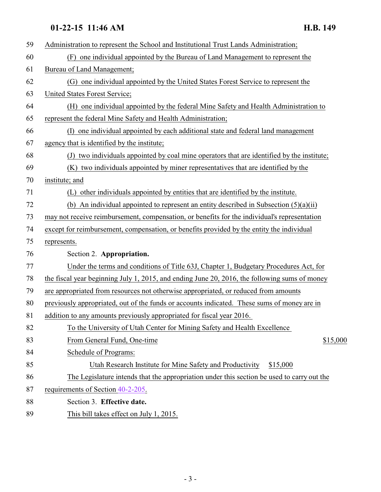## **01-22-15 11:46 AM H.B. 149**

| 59 | Administration to represent the School and Institutional Trust Lands Administration;          |
|----|-----------------------------------------------------------------------------------------------|
| 60 | one individual appointed by the Bureau of Land Management to represent the<br>(F)             |
| 61 | Bureau of Land Management;                                                                    |
| 62 | (G) one individual appointed by the United States Forest Service to represent the             |
| 63 | United States Forest Service;                                                                 |
| 64 | (H) one individual appointed by the federal Mine Safety and Health Administration to          |
| 65 | represent the federal Mine Safety and Health Administration;                                  |
| 66 | one individual appointed by each additional state and federal land management                 |
| 67 | agency that is identified by the institute;                                                   |
| 68 | (J) two individuals appointed by coal mine operators that are identified by the institute;    |
| 69 | (K) two individuals appointed by miner representatives that are identified by the             |
| 70 | institute; and                                                                                |
| 71 | other individuals appointed by entities that are identified by the institute.<br>(L)          |
| 72 | (b) An individual appointed to represent an entity described in Subsection $(5)(a)(ii)$       |
| 73 | may not receive reimbursement, compensation, or benefits for the individual's representation  |
| 74 | except for reimbursement, compensation, or benefits provided by the entity the individual     |
| 75 | represents.                                                                                   |
| 76 | Section 2. Appropriation.                                                                     |
| 77 | Under the terms and conditions of Title 63J, Chapter 1, Budgetary Procedures Act, for         |
| 78 | the fiscal year beginning July 1, 2015, and ending June 20, 2016, the following sums of money |
| 79 | are appropriated from resources not otherwise appropriated, or reduced from amounts           |
| 80 | previously appropriated, out of the funds or accounts indicated. These sums of money are in   |
| 81 | addition to any amounts previously appropriated for fiscal year 2016.                         |
| 82 | To the University of Utah Center for Mining Safety and Health Excellence                      |
| 83 | From General Fund, One-time<br>\$15,000                                                       |
| 84 | Schedule of Programs:                                                                         |
| 85 | Utah Research Institute for Mine Safety and Productivity<br>\$15,000                          |
| 86 | The Legislature intends that the appropriation under this section be used to carry out the    |
| 87 | requirements of Section 40-2-205.                                                             |
| 88 | Section 3. Effective date.                                                                    |
| 89 | This bill takes effect on July 1, 2015.                                                       |